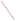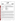| THE ENVIRONMENTAL TECHNOLOGY VERIFICATION |  |
|-------------------------------------------|--|
| DDOMI                                     |  |







**ETV Joint Verification Statement** 

| <b>TECHNOLOGY TYPE:</b> | <b>ENVIRONMENTAL DECISION SUPPORT SOFTWARE</b>                                                                  |
|-------------------------|-----------------------------------------------------------------------------------------------------------------|
| <b>APPLICATION:</b>     | INTEGRATION, VISUALIZATION, SAMPLE OPTIMIZATION, AND COST-BENEFIT ANALYSIS OF ENVIRONMENTAL<br><b>DATA SETS</b> |
| <b>TECHNOLOGY NAME:</b> | Groundwater FX                                                                                                  |
| <b>COMPANY:</b>         | DecisionFX, Inc.<br>310 Country Lane<br>Bosque Farms, NM 87068                                                  |
| <b>PHONE:</b>           | (505) 869-0057                                                                                                  |
| <b>WEBSITE:</b>         | www.decisionFX.com                                                                                              |

The U.S. Environmental Protection Agency (EPA) has created the Environmental Technology Verification Program (ETV) to facilitate the deployment of innovative or improved environmental technologies through performance verification and dissemination of information. The goal of the ETV Program is to further environmental protection by substantially accelerating the acceptance and use of improved and cost-effective technologies. ETV seeks to achieve this goal by providing high-quality, peer-reviewed data on technology performance to those involved in the design, distribution, financing, permitting, purchase, and use of environmental technologies.

ETV works in partnership with recognized standards and testing organizations and stakeholder groups consisting of regulators, buyers, and vendor organizations, with the full participation of individual technology developers. The program evaluates the performance of innovative technologies by developing test plans that are responsive to the needs of stakeholders, conducting field or laboratory tests (as appropriate), collecting and analyzing data, and preparing peer-reviewed reports. All evaluations are conducted in accordance with rigorous quality assurance protocols to ensure that data of known and adequate quality are generated and that the results are defensible.

The Site Characterization and Monitoring Technologies Pilot (SCMT), one of 12 technology areas under ETV, is administered by EPA's National Exposure Research Laboratory (NERL). With the support of the U.S. Department of Energy's (DOE's) Environmental Management (EM) program, NERL selected a team from Brookhaven National Laboratory (BNL) and Oak Ridge National Laboratory (ORNL) to perform the verification of environmental decision support software. This verification statement provides a summary of the test results of a demonstration of Decision*FX*'s Groundwater*FX* environmental decision support software product.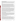## **DEMONSTRATION DESCRIPTION**

In September 1998, the performance of five decision support software (DSS) products were evaluated at the New Mexico Engineering Research Institute, located in Albuquerque, New Mexico. In October 1998, a sixth DSS product was tested at BNL in Upton, New York. Each technology was independently evaluated by comparing its analysis results with measured field data and, in some cases, known analytical solutions to the problem.

Depending on the software, each was assessed for its ability to evaluate one or more of the following endpoints of environmental contamination problems: visualization, sample optimization, and cost-benefit analysis. The capabilities of the DSS were evaluated in the following areas: (1) the effectiveness of integrating data and models to produce information that supports the decision, and (2) the information and approach used to support the analysis. Secondary evaluation objectives were to examine DSS for its reliability, resource requirements, range of applicability, and ease of operation. The verification study focused on the developers' analysis of multiple test problems with different levels of complexity. Each developer analyzed a minimum of three test problems. These test problems, generated mostly from actual environmental data from six real remediation sites, were identified as Sites A, B, D, N, S, and T. The use of real data challenged the software systems because of the variability in natural systems. The technical team performed a baseline analysis for each problem to be used as a basis of comparison.

Decision*FX* staff chose to use Groundwater*FX* to perform all three endpoints using data from the Site B and Site S sample optimization and cost-benefit problems. For both problems, Groundwater*FX* was used to define sample locations to characterize the extent of groundwater contamination above specified contaminant threshold concentrations. The software generated two-dimensional (2-D) base maps containing site features that were overlain with maps of concentrations or of probability of exceeding contamination threshold levels. Groundwater*FX* was also used to estimate the volume of water contaminated above the specified threshold concentrations and to provide exposure concentrations at specified locations for use in human health risk calculations. The estimates for volume and concentrations were done using probabilistic simulation. This permitted the analyst to provide statistical estimates of the confidence in the software's volume and concentration estimates. Details of the demonstration, including an evaluation of the software's performance, may be found in the report entitled *Environmental Technology Verification Report: Environmental Decision Support Software—DecisionFX, Inc., GroundwaterFX,* EPA/600/R-00/037.

## **TECHNOLOGY DESCRIPTION**

Groundwater*FX* is a decision support system intended to provide decision makers and analysts a means of evaluating environmental information related to the nature and extent of contamination in groundwater. Key attributes of the product include the ability to delineate, provide visual feedback, and quantify uncertainties in the nature and extent of groundwater contamination (e.g., concentration distribution, probability distribution of exceeding a groundwater cleanup guideline); to provide objective recommendations on the number and location of sampling points; and to provide statistical information about the contamination (e.g., average volume of contamination, standard deviation, etc.). Groundwater*FX* runs on Windows 95 and 98 or NT platforms and on the Power Macintosh operating system.

## **VERIFICATION OF PERFORMANCE**

The following performance characteristics of Groundwater*FX* were observed:

*Decision Support:* Groundwater*FX* is a probabilistic-based software designed to address 2-D and threedimensional (3-D) groundwater contamination problems, including optimization of new sample locations and generation of cost-benefit information (e.g., evaluation of the probability of exceeding threshold concentrations). The software generated 2-D maps of the contamination and of the probability of exceeding a specified threshold concentration. Cost-benefit curves of the cost (volume) of remediation vs. the probability of exceeding a threshold concentration were generated in Excel using Groundwater*FX* output files. The software provided estimates of current and future exposure concentrations for use in human health risk calculations. The interpretations of statistical data permit the decision maker to evaluate future actions, such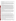as determining sampling locations or developing cleanup guidance, on the basis of the level of confidence placed in the analysis.

*Documentation of the GroundwaterFX Analysis: DecisionFX staff generated a report that provided an* adequate explanation of the process and parameters used to analyze each problem. Documentation of data transfer, manipulations of the data, and analyses were included. The criteria used to select models for the simulation and the parameters for conducting the probabilistic assessment were provided in standard ASCII text files that are exportable to a number of software programs. Output files from the simulations were also provided for review.

*Comparison with Baseline Analysis and Data:* Decision*FX* used Groundwater*FX* to perform the visualization, sample optimization, and cost-benefit aspects of problems from Sites B and S. The analysis performed by Groundwater*FX* did not provide an adequate match to the data on either test problem. For Site B, the locations of wells in some simulations were incorrectly plotted on the site map. The maps of contaminant concentrations were generally consistent with the data near the source of contamination. However, the software did not represent the leading edge of the plume accurately. The maps showing the probability of exceeding a contaminant threshold were inconsistent with the baseline data, and the estimate of the volume of the plume was three to five times smaller than that obtained in the baseline analyses. The estimates of exposure concentrations for risk calculations were too low by a factor of 2 to 3 as compared to the baseline analyses. For Site S, Groundwater*FX*'s estimates of contaminant concentrations were an extremely poor match to the data and baseline analysis. As a result, estimates of the volume of contaminated groundwater and of exposure concentrations for risk calculations were substantially different from those suggested by the data and baseline analysis. In addition, the Groundwater*FX* estimates of exposure concentrations supplied for risk calculations were inconsistent with the contaminant concentration maps generated by the software.

*Multiple Lines of Reasoning:* The foundation of the Groundwater*FX* approach is a Monte Carlo simulator that produces multiple simulations of the distribution of contamination that are consistent with the known data. From these simulations, concentration and probability maps were produced to assist in evaluating the extent of contamination. This permits the decision-maker to evaluate future actions, such as determining sampling locations or developing cleanup guidance, on the basis of the level of confidence placed in the analysis.

In addition to performance criteria, the following secondary criteria were evaluated:

*Ease of Use:* Groundwater*FX* is a sophisticated flow and transport code that incorporates Monte Carlo simulation in a 3-D framework. A high level of skill and experience is required to use it effectively.

Several features of Groundwater*FX* make the software package cumbersome to use. These include the need for a formatted data file for importing location and concentration data, the need to have all units of measurement in meters (USGS and state plane coordinates systems are typically measured in feet), the need to have all graphic files imported as a single bitmap (which prohibits the use of multiple layers in visualizations and requires coordinates of the bitmap to be provided when the bitmap is used as a base map for visualization), the inability to edit graphic bitmap files, and the absence of on-line help. Visualization output is limited to bitmaps of screen captures that can be imported into other software for processing. Overcoming these limitations to perform an analysis requires more work on the part of the software operator.

Groundwater*FX* exports text and graphics to standard word processing software directly. Graphic outputs are generated as bitmaps, which can be imported into other software to generate .jpg, and .cdr graphic files. Groundwater*FX* generates data files from statistical analysis and concentration estimates in ASCII format, which can be read by most software.

*Efficiency and Range of Applicability:* Two problems were completed and documented with 12 person-days of effort. However, the technical team concluded that the analyses were, at best, a first pass through the